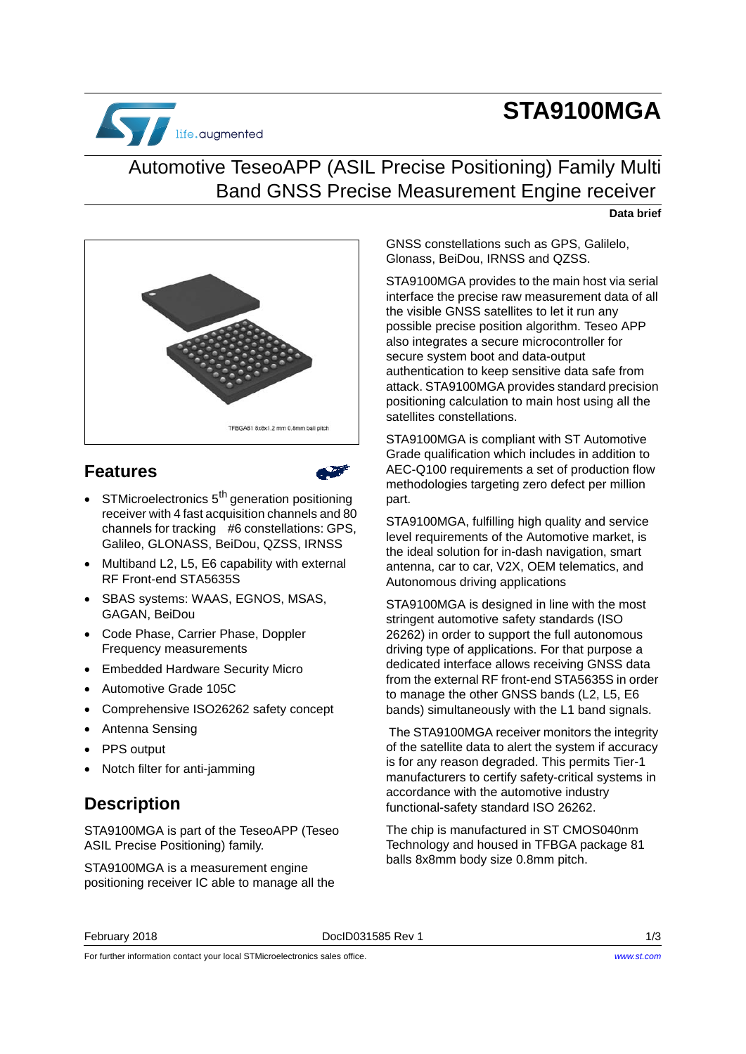# **STA9100MGA**



## Automotive TeseoAPP (ASIL Precise Positioning) Family Multi Band GNSS Precise Measurement Engine receiver

#### **Data brief**



### **Features**



- $\bullet$  STMicroelectronics  $5<sup>th</sup>$  generation positioning receiver with 4 fast acquisition channels and 80 channels for tracking #6 constellations: GPS, Galileo, GLONASS, BeiDou, QZSS, IRNSS
- Multiband L2, L5, E6 capability with external RF Front-end STA5635S
- SBAS systems: WAAS, EGNOS, MSAS, GAGAN, BeiDou
- Code Phase, Carrier Phase, Doppler Frequency measurements
- Embedded Hardware Security Micro
- Automotive Grade 105C
- Comprehensive ISO26262 safety concept
- Antenna Sensing
- PPS output
- Notch filter for anti-jamming

### **Description**

STA9100MGA is part of the TeseoAPP (Teseo ASIL Precise Positioning) family.

STA9100MGA is a measurement engine positioning receiver IC able to manage all the

GNSS constellations such as GPS, Galilelo, Glonass, BeiDou, IRNSS and QZSS.

STA9100MGA provides to the main host via serial interface the precise raw measurement data of all the visible GNSS satellites to let it run any possible precise position algorithm. Teseo APP also integrates a secure microcontroller for secure system boot and data-output authentication to keep sensitive data safe from attack. STA9100MGA provides standard precision positioning calculation to main host using all the satellites constellations.

STA9100MGA is compliant with ST Automotive Grade qualification which includes in addition to AEC-Q100 requirements a set of production flow methodologies targeting zero defect per million part.

STA9100MGA, fulfilling high quality and service level requirements of the Automotive market, is the ideal solution for in-dash navigation, smart antenna, car to car, V2X, OEM telematics, and Autonomous driving applications

STA9100MGA is designed in line with the most stringent automotive safety standards (ISO 26262) in order to support the full autonomous driving type of applications. For that purpose a dedicated interface allows receiving GNSS data from the external RF front-end STA5635S in order to manage the other GNSS bands (L2, L5, E6 bands) simultaneously with the L1 band signals.

 The STA9100MGA receiver monitors the integrity of the satellite data to alert the system if accuracy is for any reason degraded. This permits Tier-1 manufacturers to certify safety-critical systems in accordance with the automotive industry functional-safety standard ISO 26262.

The chip is manufactured in ST CMOS040nm Technology and housed in TFBGA package 81 balls 8x8mm body size 0.8mm pitch.

### February 2018 DocID031585 Rev 1 1/[3](#page-2-0)

For further information contact your local STMicroelectronics sales office.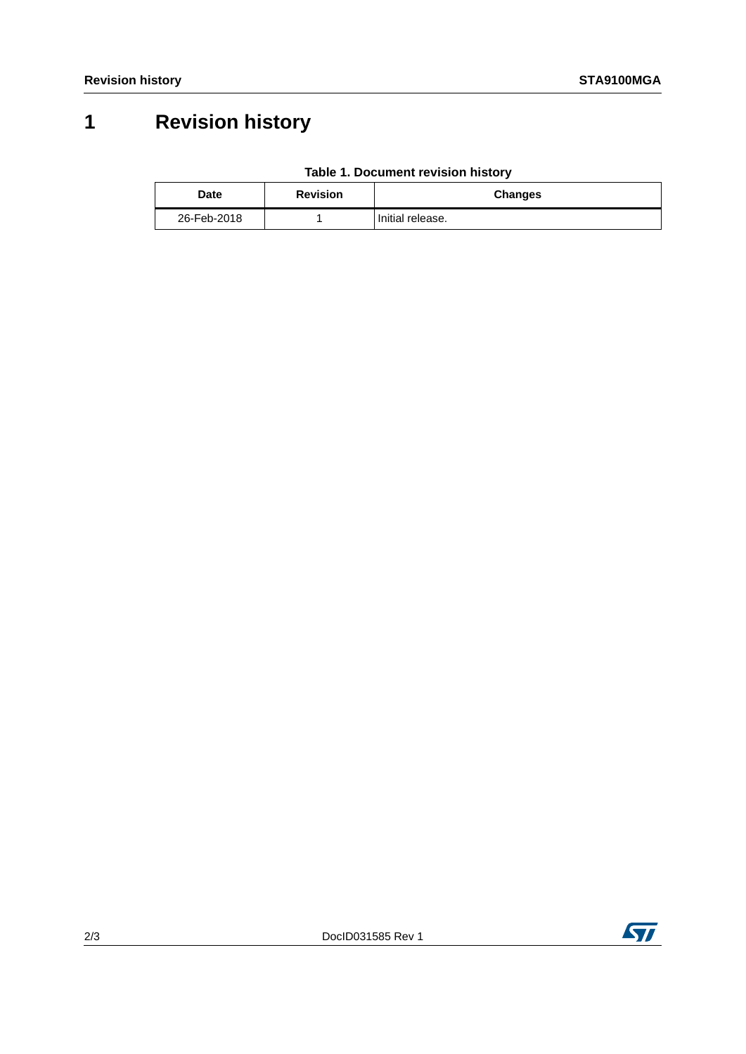# **1 Revision history**

|  | Table 1. Document revision history |  |  |
|--|------------------------------------|--|--|
|--|------------------------------------|--|--|

| Date        | <b>Revision</b> | <b>Changes</b>   |
|-------------|-----------------|------------------|
| 26-Feb-2018 |                 | Initial release. |